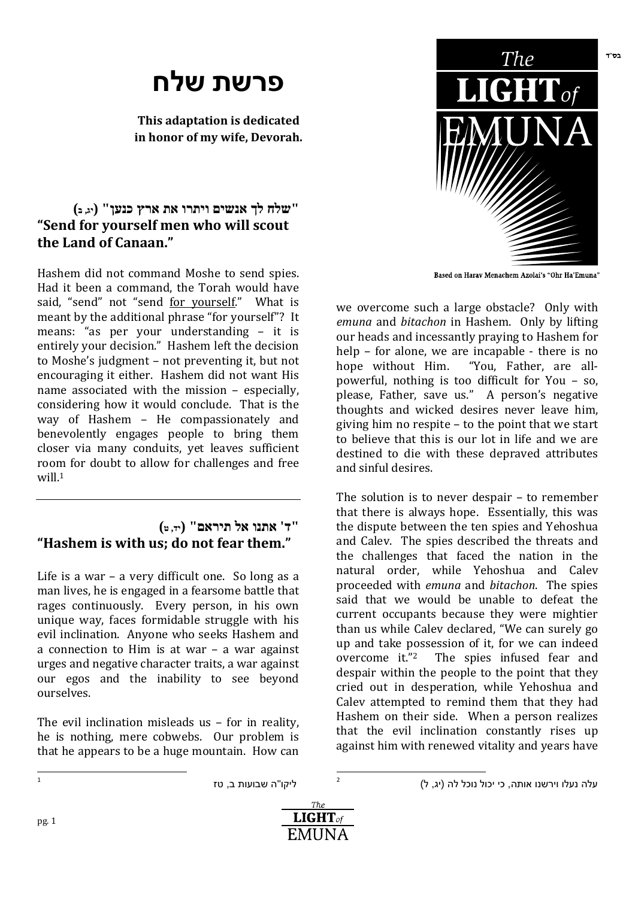# **פרשת שלח**

**This adaptation is dedicated in honor of my wife, Devorah.** 

### **"שלח לך אנשים ויתרו את ארץ כנען ( " יג, <sup>ב</sup> ) "Send for yourself men who will scout the Land of Canaan."**

Hashem did not command Moshe to send spies. Had it been a command, the Torah would have said, "send" not "send for yourself." What is meant by the additional phrase "for yourself"? It means: "as per your understanding – it is entirely your decision." Hashem left the decision to Moshe's judgment – not preventing it, but not encouraging it either. Hashem did not want His name associated with the mission – especially, considering how it would conclude. That is the way of Hashem – He compassionately and benevolently engages people to bring them closer via many conduits, yet leaves sufficient room for doubt to allow for challenges and free will.<sup>1</sup>

#### **"ד' אתנו אל תיראם" (יד, <sup>ט</sup> ) "Hashem is with us; do not fear them."**

Life is a war – a very difficult one. So long as a man lives, he is engaged in a fearsome battle that rages continuously. Every person, in his own unique way, faces formidable struggle with his evil inclination. Anyone who seeks Hashem and a connection to Him is at war – a war against urges and negative character traits, a war against our egos and the inability to see beyond ourselves.

The evil inclination misleads us – for in reality, he is nothing, mere cobwebs. Our problem is that he appears to be a huge mountain. How can



we overcome such a large obstacle? Only with *emuna* and *bitachon* in Hashem. Only by lifting our heads and incessantly praying to Hashem for help – for alone, we are incapable - there is no hope without Him. "You, Father, are allpowerful, nothing is too difficult for You – so, please, Father, save us." A person's negative thoughts and wicked desires never leave him, giving him no respite – to the point that we start to believe that this is our lot in life and we are destined to die with these depraved attributes and sinful desires.

The solution is to never despair – to remember that there is always hope. Essentially, this was the dispute between the ten spies and Yehoshua and Calev. The spies described the threats and the challenges that faced the nation in the natural order, while Yehoshua and Calev proceeded with *emuna* and *bitachon*. The spies said that we would be unable to defeat the current occupants because they were mightier than us while Calev declared, "We can surely go up and take possession of it, for we can indeed overcome it."2 The spies infused fear and despair within the people to the point that they cried out in desperation, while Yehoshua and Calev attempted to remind them that they had Hashem on their side. When a person realizes that the evil inclination constantly rises up against him with renewed vitality and years have

ליקו"ה שבועות ב, טז

עלה נעלו וירשנו אותה, כי יכול נוכל לה (יג, ל)



 $\overline{a}$ 2

 $\frac{1}{1}$ 

בס"ד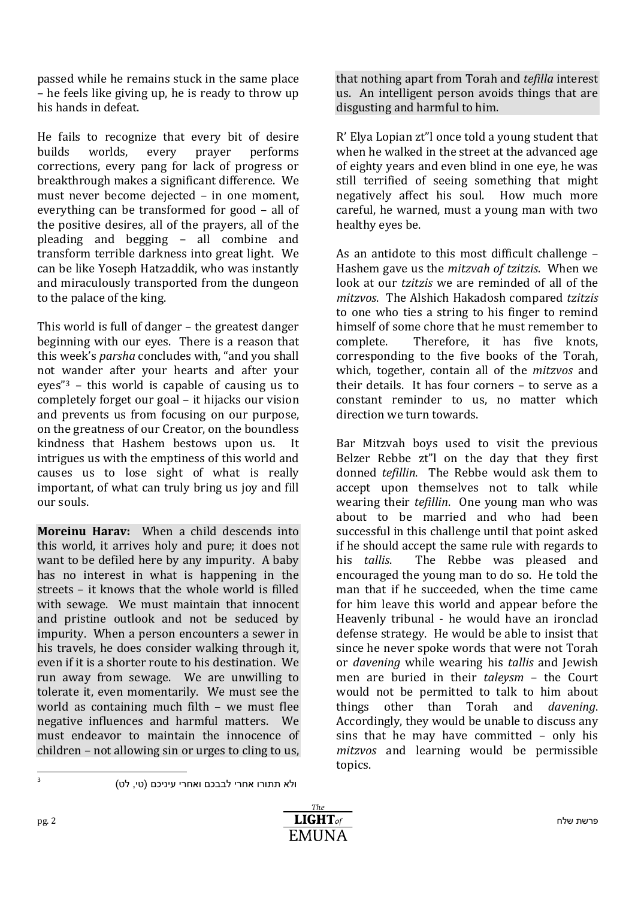passed while he remains stuck in the same place – he feels like giving up, he is ready to throw up his hands in defeat.

He fails to recognize that every bit of desire builds worlds, every prayer performs corrections, every pang for lack of progress or breakthrough makes a significant difference. We must never become dejected – in one moment, everything can be transformed for good – all of the positive desires, all of the prayers, all of the pleading and begging – all combine and transform terrible darkness into great light. We can be like Yoseph Hatzaddik, who was instantly and miraculously transported from the dungeon to the palace of the king.

This world is full of danger – the greatest danger beginning with our eyes. There is a reason that this week's *parsha* concludes with, "and you shall not wander after your hearts and after your eyes"3 – this world is capable of causing us to completely forget our goal – it hijacks our vision and prevents us from focusing on our purpose, on the greatness of our Creator, on the boundless kindness that Hashem bestows upon us. It intrigues us with the emptiness of this world and causes us to lose sight of what is really important, of what can truly bring us joy and fill our souls.

**Moreinu Harav:** When a child descends into this world, it arrives holy and pure; it does not want to be defiled here by any impurity. A baby has no interest in what is happening in the streets – it knows that the whole world is filled with sewage. We must maintain that innocent and pristine outlook and not be seduced by impurity. When a person encounters a sewer in his travels, he does consider walking through it, even if it is a shorter route to his destination. We run away from sewage. We are unwilling to tolerate it, even momentarily. We must see the world as containing much filth – we must flee negative influences and harmful matters. We must endeavor to maintain the innocence of children – not allowing sin or urges to cling to us, that nothing apart from Torah and *tefilla* interest us. An intelligent person avoids things that are disgusting and harmful to him.

R' Elya Lopian zt"l once told a young student that when he walked in the street at the advanced age of eighty years and even blind in one eye, he was still terrified of seeing something that might negatively affect his soul. How much more careful, he warned, must a young man with two healthy eyes be.

As an antidote to this most difficult challenge – Hashem gave us the *mitzvah of tzitzis*. When we look at our *tzitzis* we are reminded of all of the *mitzvos*. The Alshich Hakadosh compared *tzitzis* to one who ties a string to his finger to remind himself of some chore that he must remember to complete. Therefore, it has five knots, corresponding to the five books of the Torah, which, together, contain all of the *mitzvos* and their details. It has four corners – to serve as a constant reminder to us, no matter which direction we turn towards.

Bar Mitzvah boys used to visit the previous Belzer Rebbe zt"l on the day that they first donned *tefillin*. The Rebbe would ask them to accept upon themselves not to talk while wearing their *tefillin*. One young man who was about to be married and who had been successful in this challenge until that point asked if he should accept the same rule with regards to his *tallis*. The Rebbe was pleased and encouraged the young man to do so. He told the man that if he succeeded, when the time came for him leave this world and appear before the Heavenly tribunal - he would have an ironclad defense strategy. He would be able to insist that since he never spoke words that were not Torah or *davening* while wearing his *tallis* and Jewish men are buried in their *taleysm* – the Court would not be permitted to talk to him about things other than Torah and *davening*. Accordingly, they would be unable to discuss any sins that he may have committed – only his *mitzvos* and learning would be permissible topics.

-<br>3

ולא תתורו אחרי לבבכם ואחרי עיניכם (טי, לט)

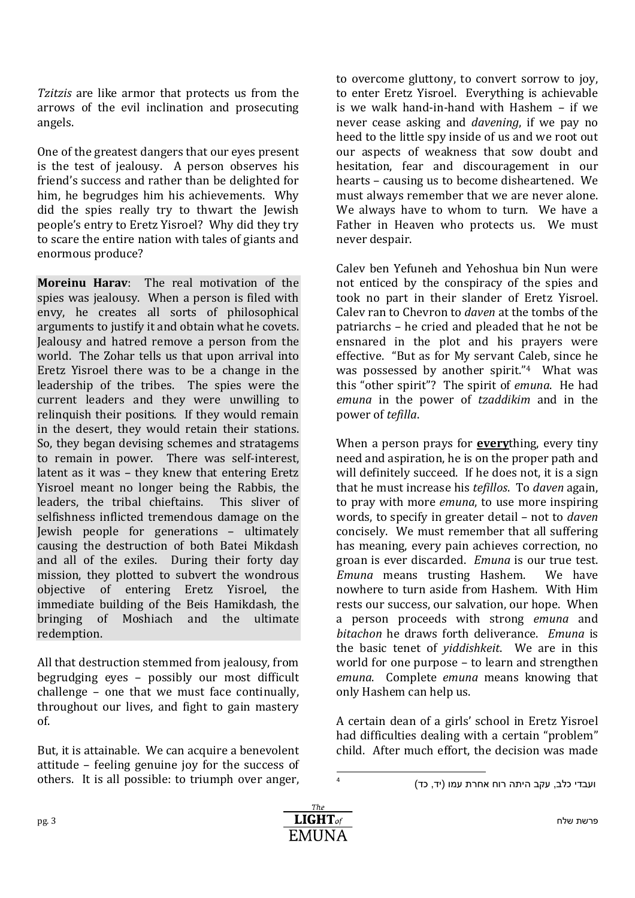*Tzitzis* are like armor that protects us from the arrows of the evil inclination and prosecuting angels.

One of the greatest dangers that our eyes present is the test of jealousy. A person observes his friend's success and rather than be delighted for him, he begrudges him his achievements. Why did the spies really try to thwart the Jewish people's entry to Eretz Yisroel? Why did they try to scare the entire nation with tales of giants and enormous produce?

**Moreinu Harav**: The real motivation of the spies was jealousy. When a person is filed with envy, he creates all sorts of philosophical arguments to justify it and obtain what he covets. Jealousy and hatred remove a person from the world. The Zohar tells us that upon arrival into Eretz Yisroel there was to be a change in the leadership of the tribes. The spies were the current leaders and they were unwilling to relinquish their positions. If they would remain in the desert, they would retain their stations. So, they began devising schemes and stratagems to remain in power. There was self-interest, latent as it was – they knew that entering Eretz Yisroel meant no longer being the Rabbis, the leaders, the tribal chieftains. This sliver of selfishness inflicted tremendous damage on the Jewish people for generations – ultimately causing the destruction of both Batei Mikdash and all of the exiles. During their forty day mission, they plotted to subvert the wondrous objective of entering Eretz Yisroel, the immediate building of the Beis Hamikdash, the bringing of Moshiach and the ultimate redemption.

All that destruction stemmed from jealousy, from begrudging eyes – possibly our most difficult challenge – one that we must face continually, throughout our lives, and fight to gain mastery of.

But, it is attainable. We can acquire a benevolent attitude – feeling genuine joy for the success of others. It is all possible: to triumph over anger,

to overcome gluttony, to convert sorrow to joy, to enter Eretz Yisroel. Everything is achievable is we walk hand-in-hand with Hashem – if we never cease asking and *davening*, if we pay no heed to the little spy inside of us and we root out our aspects of weakness that sow doubt and hesitation, fear and discouragement in our hearts – causing us to become disheartened. We must always remember that we are never alone. We always have to whom to turn. We have a Father in Heaven who protects us. We must never despair.

Calev ben Yefuneh and Yehoshua bin Nun were not enticed by the conspiracy of the spies and took no part in their slander of Eretz Yisroel. Calev ran to Chevron to *daven* at the tombs of the patriarchs – he cried and pleaded that he not be ensnared in the plot and his prayers were effective. "But as for My servant Caleb, since he was possessed by another spirit."<sup>4</sup> What was this "other spirit"? The spirit of *emuna*. He had *emuna* in the power of *tzaddikim* and in the power of *tefilla*.

When a person prays for **every**thing, every tiny need and aspiration, he is on the proper path and will definitely succeed. If he does not, it is a sign that he must increase his *tefillos*. To *daven* again, to pray with more *emuna*, to use more inspiring words, to specify in greater detail – not to *daven* concisely. We must remember that all suffering has meaning, every pain achieves correction, no groan is ever discarded. *Emuna* is our true test. *Emuna* means trusting Hashem. We have nowhere to turn aside from Hashem. With Him rests our success, our salvation, our hope. When a person proceeds with strong *emuna* and *bitachon* he draws forth deliverance. *Emuna* is the basic tenet of *yiddishkeit*. We are in this world for one purpose – to learn and strengthen *emuna*. Complete *emuna* means knowing that only Hashem can help us.

A certain dean of a girls' school in Eretz Yisroel had difficulties dealing with a certain "problem" child. After much effort, the decision was made



 $\frac{1}{4}$ 

ועבדי כלב, עקב היתה רוח אחרת עמו (יד, כד)